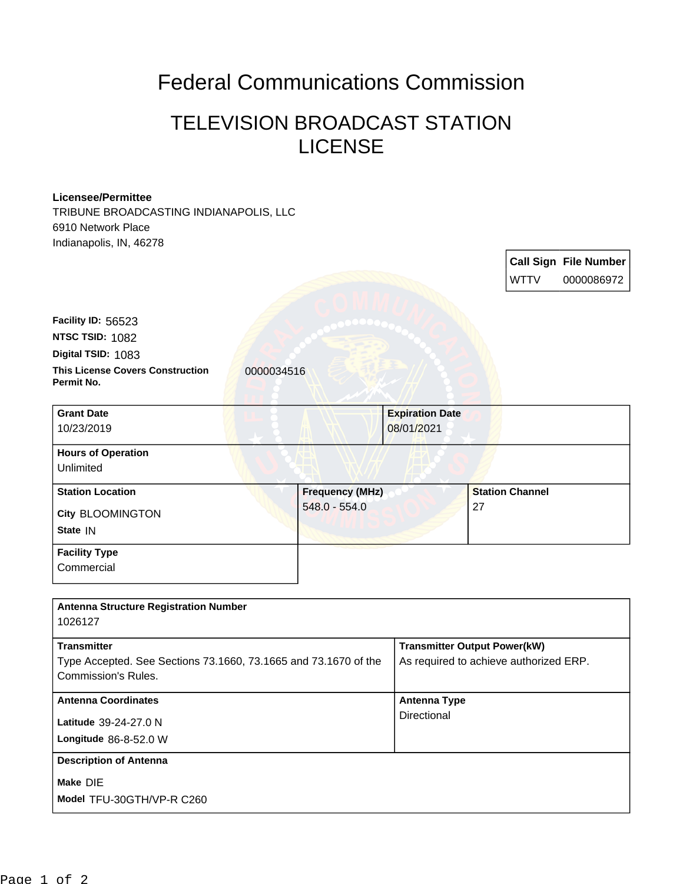## Federal Communications Commission

## TELEVISION BROADCAST STATION LICENSE

## **Licensee/Permittee**

TRIBUNE BROADCASTING INDIANAPOLIS, LLC 6910 Network Place Indianapolis, IN, 46278

|                                                                                                                     |                                           |                                      | <b>WTTV</b>                                                                   | <b>Call Sign File Number</b><br>0000086972 |
|---------------------------------------------------------------------------------------------------------------------|-------------------------------------------|--------------------------------------|-------------------------------------------------------------------------------|--------------------------------------------|
| Facility ID: 56523<br>NTSC TSID: 1082                                                                               |                                           |                                      |                                                                               |                                            |
| Digital TSID: 1083<br><b>This License Covers Construction</b><br>Permit No.                                         | 0000034516                                |                                      |                                                                               |                                            |
| <b>Grant Date</b>                                                                                                   |                                           |                                      |                                                                               |                                            |
| 10/23/2019                                                                                                          |                                           | <b>Expiration Date</b><br>08/01/2021 |                                                                               |                                            |
| <b>Hours of Operation</b><br>Unlimited                                                                              |                                           |                                      |                                                                               |                                            |
| <b>Station Location</b><br><b>City BLOOMINGTON</b><br>State IN                                                      | <b>Frequency (MHz)</b><br>$548.0 - 554.0$ |                                      | <b>Station Channel</b><br>27                                                  |                                            |
| <b>Facility Type</b><br>Commercial                                                                                  |                                           |                                      |                                                                               |                                            |
| <b>Antenna Structure Registration Number</b><br>1026127                                                             |                                           |                                      |                                                                               |                                            |
| <b>Transmitter</b><br>Type Accepted. See Sections 73.1660, 73.1665 and 73.1670 of the<br><b>Commission's Rules.</b> |                                           |                                      | <b>Transmitter Output Power(kW)</b><br>As required to achieve authorized ERP. |                                            |
| <b>Antenna Coordinates</b><br>Latitude 39-24-27.0 N<br>Longitude 86-8-52.0 W                                        |                                           | <b>Antenna Type</b><br>Directional   |                                                                               |                                            |

## **Description of Antenna**

**Make** DIE

**Model** TFU-30GTH/VP-R C260